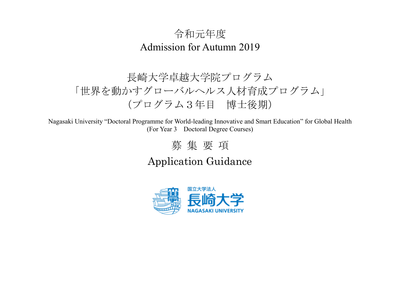## 令和元年度 Admission for Autumn 2019

# 長崎大学卓越大学院プログラム 「世界を動かすグローバルヘルス人材育成プログラム」 (プログラム3年目 博士後期)

Nagasaki University "Doctoral Programme for World-leading Innovative and Smart Education" for Global Health (For Year 3 Doctoral Degree Courses)

# 募 集 要 項

## Application Guidance

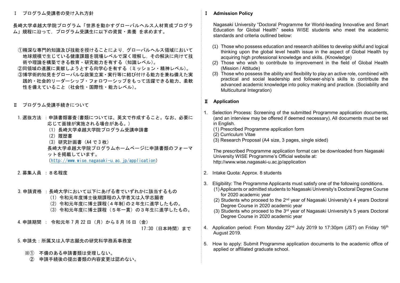Ⅰ プログラム受講者の受け入れ方針

長崎大学卓越大学院プログラム「世界を動かすグローバルヘルス人材育成プログラ ム」規程に沿って,プログラム受講生に以下の資質・素養 を求めます。

- ①精深な専門的知識及び技能を授けることにより,グローバルヘルス領域において 地球規模で生じている健康課題を現場レベルで深く理解し,その解決に向けて技 術や理論を構築できる教育・研究能力を有する(知識レベル)。
- ②同領域の進展に貢献しようとする向学心を有する(ミッション・精神レベル)。 ③博学術的知見をグローバルな政策立案・実行等に結び付ける能力を兼ね備えた実 践的・社会的リーダーシップ・フォロワーシップをもって活躍できる能力、柔軟 性を備えていること(社会性・国際性・能力レベル)。
- Ⅱ プログラム受講手続きについて
- 1. 選抜方法 : 申請書類審査(書類については、英文で作成すること。なお、必要に 応じて面接が実施される場合がある。)
	- (1)長崎大学卓越大学院プログラム受講申請書
	- (2)履歴書
	- (3)研究計画書(A4 で 3 枚)
	- 長崎大学卓越大学院プログラムホームページに申請書類のフォーマ ットを掲載しています。

(<http://www.wise.nagasaki-u.ac.jp/application>)

- 2.募集人員 :8名程度
- 3.申請資格 :長崎大学において以下にあげる者でいずれかに該当するもの
	- (1)令和元年度博士後期課程の入学者又は入学志願者
	- (2)令和元年度に博士課程(4年制)の2年生に進学したもの。
	- (3)令和元年度に博士課程(5年一貫)の3年生に進学したもの。

4.申請期間 : 令和元年 7 月 22 日(月)から 8 月 16 日(金) 17:30(日本時間)まで

- 5.申請先:所属又は入学志願先の研究科学務系事務室
	- ※① 不備のある申請書類は受理しない。
		- ② 申請手続後の提出書類の内容変更は認めない。

### Ⅰ **Admission Policy**

 Nagasaki University "Doctoral Programme for World-leading Innovative and Smart Education for Global Health" seeks WISE students who meet the academic standards and criteria outlined below:

- (1) Those who possess education and research abilities to develop skilful and logical thinking upon the global level health issue in the aspect of Global Health by acquiring high professional knowledge and skills. (Knowledge)
- (2) Those who wish to contribute to improvement in the field of Global Health (Mission / Attitude)
- (3) Those who possess the ability and flexibility to play an active role, combined with practical and social leadership and follower-ship's skills to contribute the advanced academic knowledge into policy making and practice. (Sociability and Multicultural Integration)

## Ⅱ **Application**

- 1. Selection Process: Screening of the submitted Programme application documents, (and an interview may be offered if deemed necessary). All documents must be set in English.
	- (1) Prescribed Programme application form
	- (2) Curriculum Vitae
	- (3) Research Proposal (A4 size, 3 pages, single sided)

 The prescribed Programme application format can be downloaded from Nagasaki University WISE Programme's Official website at: http://www.wise.nagasaki-u.ac.jp/application

- 2. Intake Quota: Approx. 8 students
- 3. Eligibility: The Programme Applicants must satisfy one of the following conditions.
	- (1) Applicants or admitted students to Nagasaki University's Doctoral Degree Course for 2020 academic year
	- $(2)$  Students who proceed to the  $2<sup>nd</sup>$  year of Nagasaki University's 4 years Doctoral Degree Course in 2020 academic year
	- (3) Students who proceed to the 3rd year of Nagasaki University's 5 years Doctoral Degree Course in 2020 academic year
- 4. Application period: From Monday 22<sup>nd</sup> July 2019 to 17:30pm (JST) on Friday 16<sup>th</sup> August 2019.
- 5. How to apply: Submit Programme application documents to the academic office of applied or affiliated graduate school.